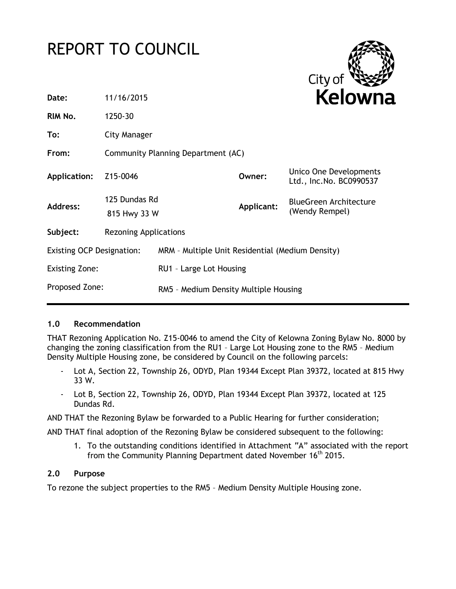# REPORT TO COUNCIL



| Date:                            | 11/16/2015                         |                                                  |            | <b>Kelown</b>                                     |
|----------------------------------|------------------------------------|--------------------------------------------------|------------|---------------------------------------------------|
| RIM No.                          | 1250-30                            |                                                  |            |                                                   |
| To:                              | City Manager                       |                                                  |            |                                                   |
| From:                            | Community Planning Department (AC) |                                                  |            |                                                   |
| Application:                     | Z15-0046                           |                                                  | Owner:     | Unico One Developments<br>Ltd., Inc.No. BC0990537 |
| <b>Address:</b>                  | 125 Dundas Rd<br>815 Hwy 33 W      |                                                  | Applicant: | <b>BlueGreen Architecture</b><br>(Wendy Rempel)   |
| Subject:                         | <b>Rezoning Applications</b>       |                                                  |            |                                                   |
| <b>Existing OCP Designation:</b> |                                    | MRM - Multiple Unit Residential (Medium Density) |            |                                                   |
| <b>Existing Zone:</b>            |                                    | RU1 - Large Lot Housing                          |            |                                                   |
| Proposed Zone:                   |                                    | RM5 - Medium Density Multiple Housing            |            |                                                   |

# **1.0 Recommendation**

THAT Rezoning Application No. Z15-0046 to amend the City of Kelowna Zoning Bylaw No. 8000 by changing the zoning classification from the RU1 – Large Lot Housing zone to the RM5 – Medium Density Multiple Housing zone, be considered by Council on the following parcels:

- Lot A, Section 22, Township 26, ODYD, Plan 19344 Except Plan 39372, located at 815 Hwy 33 W.
- Lot B, Section 22, Township 26, ODYD, Plan 19344 Except Plan 39372, located at 125 Dundas Rd.

AND THAT the Rezoning Bylaw be forwarded to a Public Hearing for further consideration;

AND THAT final adoption of the Rezoning Bylaw be considered subsequent to the following:

1. To the outstanding conditions identified in Attachment "A" associated with the report from the Community Planning Department dated November 16th 2015.

# **2.0 Purpose**

To rezone the subject properties to the RM5 – Medium Density Multiple Housing zone.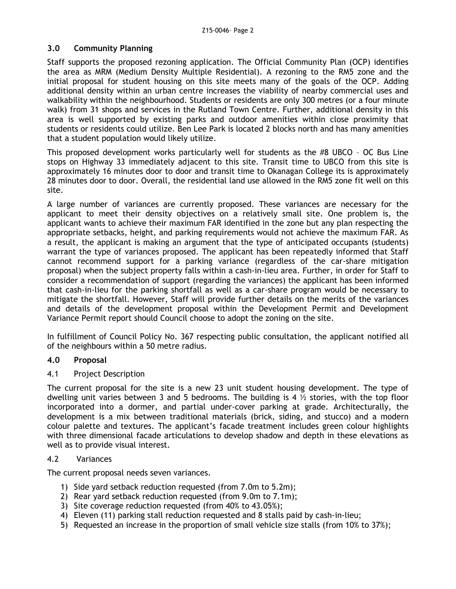## **3.0 Community Planning**

Staff supports the proposed rezoning application. The Official Community Plan (OCP) identifies the area as MRM (Medium Density Multiple Residential). A rezoning to the RM5 zone and the initial proposal for student housing on this site meets many of the goals of the OCP. Adding additional density within an urban centre increases the viability of nearby commercial uses and walkability within the neighbourhood. Students or residents are only 300 metres (or a four minute walk) from 31 shops and services in the Rutland Town Centre. Further, additional density in this area is well supported by existing parks and outdoor amenities within close proximity that students or residents could utilize. Ben Lee Park is located 2 blocks north and has many amenities that a student population would likely utilize.

This proposed development works particularly well for students as the #8 UBCO – OC Bus Line stops on Highway 33 immediately adjacent to this site. Transit time to UBCO from this site is approximately 16 minutes door to door and transit time to Okanagan College its is approximately 28 minutes door to door. Overall, the residential land use allowed in the RM5 zone fit well on this site.

A large number of variances are currently proposed. These variances are necessary for the applicant to meet their density objectives on a relatively small site. One problem is, the applicant wants to achieve their maximum FAR identified in the zone but any plan respecting the appropriate setbacks, height, and parking requirements would not achieve the maximum FAR. As a result, the applicant is making an argument that the type of anticipated occupants (students) warrant the type of variances proposed. The applicant has been repeatedly informed that Staff cannot recommend support for a parking variance (regardless of the car-share mitigation proposal) when the subject property falls within a cash-in-lieu area. Further, in order for Staff to consider a recommendation of support (regarding the variances) the applicant has been informed that cash-in-lieu for the parking shortfall as well as a car-share program would be necessary to mitigate the shortfall. However, Staff will provide further details on the merits of the variances and details of the development proposal within the Development Permit and Development Variance Permit report should Council choose to adopt the zoning on the site.

In fulfillment of Council Policy No. 367 respecting public consultation, the applicant notified all of the neighbours within a 50 metre radius.

# **4.0 Proposal**

## 4.1 Project Description

The current proposal for the site is a new 23 unit student housing development. The type of dwelling unit varies between 3 and 5 bedrooms. The building is 4  $\frac{1}{2}$  stories, with the top floor incorporated into a dormer, and partial under-cover parking at grade. Architecturally, the development is a mix between traditional materials (brick, siding, and stucco) and a modern colour palette and textures. The applicant's facade treatment includes green colour highlights with three dimensional facade articulations to develop shadow and depth in these elevations as well as to provide visual interest.

# 4.2 Variances

The current proposal needs seven variances.

- 1) Side yard setback reduction requested (from 7.0m to 5.2m);
- 2) Rear yard setback reduction requested (from 9.0m to 7.1m);
- 3) Site coverage reduction requested (from 40% to 43.05%);
- 4) Eleven (11) parking stall reduction requested and 8 stalls paid by cash-in-lieu;
- 5) Requested an increase in the proportion of small vehicle size stalls (from 10% to 37%);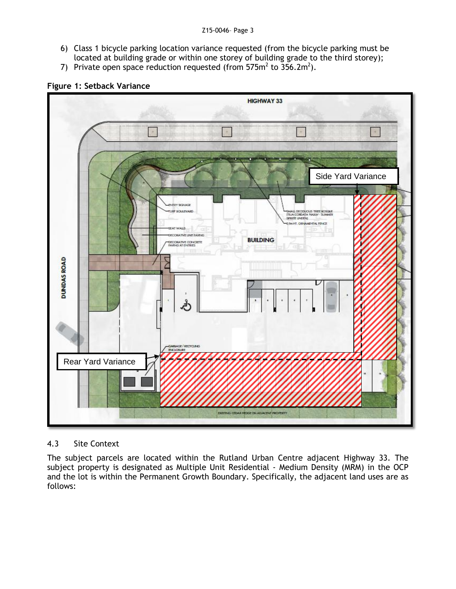- 6) Class 1 bicycle parking location variance requested (from the bicycle parking must be located at building grade or within one storey of building grade to the third storey);
- 7) Private open space reduction requested (from 575 $m^2$  to 356.2 $m^2$ ).



# **Figure 1: Setback Variance**

# 4.3 Site Context

The subject parcels are located within the Rutland Urban Centre adjacent Highway 33. The subject property is designated as Multiple Unit Residential - Medium Density (MRM) in the OCP and the lot is within the Permanent Growth Boundary. Specifically, the adjacent land uses are as follows: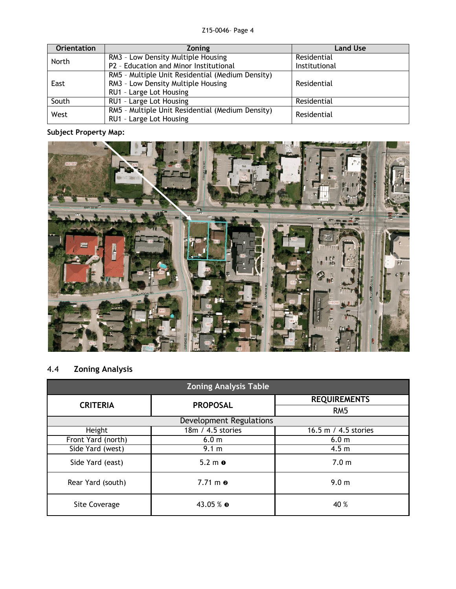| <b>Orientation</b> | <b>Zoning</b>                                                               | <b>Land Use</b> |
|--------------------|-----------------------------------------------------------------------------|-----------------|
| North              | RM3 - Low Density Multiple Housing                                          | Residential     |
|                    | P2 - Education and Minor Institutional                                      | Institutional   |
|                    | RM5 - Multiple Unit Residential (Medium Density)                            |                 |
| East               | RM3 - Low Density Multiple Housing                                          | Residential     |
|                    | RU1 - Large Lot Housing                                                     |                 |
| South              | RU1 - Large Lot Housing                                                     | Residential     |
| West               | RM5 - Multiple Unit Residential (Medium Density)<br>RU1 - Large Lot Housing | Residential     |

# **Subject Property Map:**



# 4.4 **Zoning Analysis**

| <b>Zoning Analysis Table</b> |                           |                      |  |
|------------------------------|---------------------------|----------------------|--|
| <b>CRITERIA</b>              | <b>PROPOSAL</b>           | <b>REQUIREMENTS</b>  |  |
|                              |                           | RM <sub>5</sub>      |  |
| Development Regulations      |                           |                      |  |
| Height                       | 18m / 4.5 stories         | 16.5 m / 4.5 stories |  |
| Front Yard (north)           | 6.0 <sub>m</sub>          | 6.0 <sub>m</sub>     |  |
| Side Yard (west)             | 9.1 m                     | 4.5 <sub>m</sub>     |  |
| Side Yard (east)             | $5.2 \text{ m}$ $\bullet$ | 7.0 <sub>m</sub>     |  |
| Rear Yard (south)            | $7.71 \text{ m}$ $\odot$  | 9.0 <sub>m</sub>     |  |
| Site Coverage                | 43.05 % ●                 | 40 %                 |  |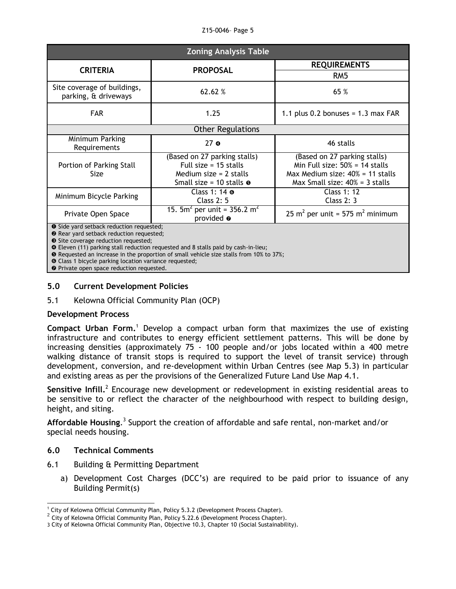| Z15-0046- Page 5 |  |  |
|------------------|--|--|
|------------------|--|--|

| <b>Zoning Analysis Table</b>                                                                                                                                                                                                                                                                                                                |                                                                                                                         |                                                                                                                                               |  |
|---------------------------------------------------------------------------------------------------------------------------------------------------------------------------------------------------------------------------------------------------------------------------------------------------------------------------------------------|-------------------------------------------------------------------------------------------------------------------------|-----------------------------------------------------------------------------------------------------------------------------------------------|--|
| <b>CRITERIA</b>                                                                                                                                                                                                                                                                                                                             | <b>PROPOSAL</b>                                                                                                         | <b>REQUIREMENTS</b>                                                                                                                           |  |
|                                                                                                                                                                                                                                                                                                                                             |                                                                                                                         | RM5                                                                                                                                           |  |
| Site coverage of buildings,<br>parking, & driveways                                                                                                                                                                                                                                                                                         | 62.62 %                                                                                                                 | 65 %                                                                                                                                          |  |
| <b>FAR</b>                                                                                                                                                                                                                                                                                                                                  | 1.25                                                                                                                    | 1.1 plus 0.2 bonuses = $1.3$ max FAR                                                                                                          |  |
| <b>Other Regulations</b>                                                                                                                                                                                                                                                                                                                    |                                                                                                                         |                                                                                                                                               |  |
| Minimum Parking<br>Requirements                                                                                                                                                                                                                                                                                                             | 27 <sub>o</sub>                                                                                                         | 46 stalls                                                                                                                                     |  |
| Portion of Parking Stall<br>Size                                                                                                                                                                                                                                                                                                            | (Based on 27 parking stalls)<br>Full size = $15$ stalls<br>Medium size $= 2$ stalls<br>Small size = 10 stalls $\bullet$ | (Based on 27 parking stalls)<br>Min Full size: $50\% = 14$ stalls<br>Max Medium size: $40\% = 11$ stalls<br>Max Small size: $40\% = 3$ stalls |  |
| Minimum Bicycle Parking                                                                                                                                                                                                                                                                                                                     | Class 1: $14$ $\sigma$<br>Class $2:5$                                                                                   | <b>Class 1: 12</b><br>Class $2:3$                                                                                                             |  |
| Private Open Space                                                                                                                                                                                                                                                                                                                          | 15. $5m^2$ per unit = 356.2 m <sup>2</sup><br>provided $\bullet$                                                        | 25 m <sup>2</sup> per unit = 575 m <sup>2</sup> minimum                                                                                       |  |
| <b>O</b> Side yard setback reduction requested;<br><sup>2</sup> Rear yard setback reduction requested;<br>Site coverage reduction requested;<br><b>O</b> Eleven (11) parking stall reduction requested and 8 stalls paid by cash-in-lieu;<br><b>O</b> Requested an increase in the proportion of small vehicle size stalls from 10% to 37%; |                                                                                                                         |                                                                                                                                               |  |

**O** Class 1 bicycle parking location variance requested;

 $\odot$  Private open space reduction requested.

## **5.0 Current Development Policies**

## 5.1 Kelowna Official Community Plan (OCP)

## **Development Process**

**Compact Urban Form.**<sup>1</sup> Develop a compact urban form that maximizes the use of existing infrastructure and contributes to energy efficient settlement patterns. This will be done by increasing densities (approximately 75 - 100 people and/or jobs located within a 400 metre walking distance of transit stops is required to support the level of transit service) through development, conversion, and re-development within Urban Centres (see Map 5.3) in particular and existing areas as per the provisions of the Generalized Future Land Use Map 4.1.

Sensitive Infill.<sup>2</sup> Encourage new development or redevelopment in existing residential areas to be sensitive to or reflect the character of the neighbourhood with respect to building design, height, and siting.

Affordable Housing.<sup>3</sup> Support the creation of affordable and safe rental, non-market and/or special needs housing.

## **6.0 Technical Comments**

- 6.1 Building & Permitting Department
	- a) Development Cost Charges (DCC's) are required to be paid prior to issuance of any Building Permit(s)

<sup>-</sup> $1$  City of Kelowna Official Community Plan, Policy 5.3.2 (Development Process Chapter).

 $2$  City of Kelowna Official Community Plan, Policy 5.22.6 (Development Process Chapter).

<sup>3</sup> City of Kelowna Official Community Plan, Objective 10.3, Chapter 10 (Social Sustainability).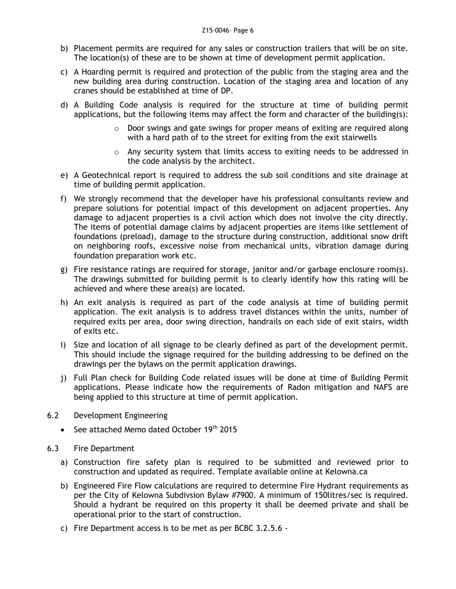- b) Placement permits are required for any sales or construction trailers that will be on site. The location(s) of these are to be shown at time of development permit application.
- c) A Hoarding permit is required and protection of the public from the staging area and the new building area during construction. Location of the staging area and location of any cranes should be established at time of DP.
- d) A Building Code analysis is required for the structure at time of building permit applications, but the following items may affect the form and character of the building(s):
	- $\circ$  Door swings and gate swings for proper means of exiting are required along with a hard path of to the street for exiting from the exit stairwells
	- $\circ$  Any security system that limits access to exiting needs to be addressed in the code analysis by the architect.
- e) A Geotechnical report is required to address the sub soil conditions and site drainage at time of building permit application.
- f) We strongly recommend that the developer have his professional consultants review and prepare solutions for potential impact of this development on adjacent properties. Any damage to adjacent properties is a civil action which does not involve the city directly. The items of potential damage claims by adjacent properties are items like settlement of foundations (preload), damage to the structure during construction, additional snow drift on neighboring roofs, excessive noise from mechanical units, vibration damage during foundation preparation work etc.
- g) Fire resistance ratings are required for storage, janitor and/or garbage enclosure room(s). The drawings submitted for building permit is to clearly identify how this rating will be achieved and where these area(s) are located.
- h) An exit analysis is required as part of the code analysis at time of building permit application. The exit analysis is to address travel distances within the units, number of required exits per area, door swing direction, handrails on each side of exit stairs, width of exits etc.
- i) Size and location of all signage to be clearly defined as part of the development permit. This should include the signage required for the building addressing to be defined on the drawings per the bylaws on the permit application drawings.
- j) Full Plan check for Building Code related issues will be done at time of Building Permit applications. Please indicate how the requirements of Radon mitigation and NAFS are being applied to this structure at time of permit application.
- 6.2 Development Engineering
	- See attached Memo dated October 19<sup>th</sup> 2015
- 6.3 Fire Department
	- a) Construction fire safety plan is required to be submitted and reviewed prior to construction and updated as required. Template available online at Kelowna.ca
	- b) Engineered Fire Flow calculations are required to determine Fire Hydrant requirements as per the City of Kelowna Subdivsion Bylaw #7900. A minimum of 150litres/sec is required. Should a hydrant be required on this property it shall be deemed private and shall be operational prior to the start of construction.
	- c) Fire Department access is to be met as per BCBC 3.2.5.6 -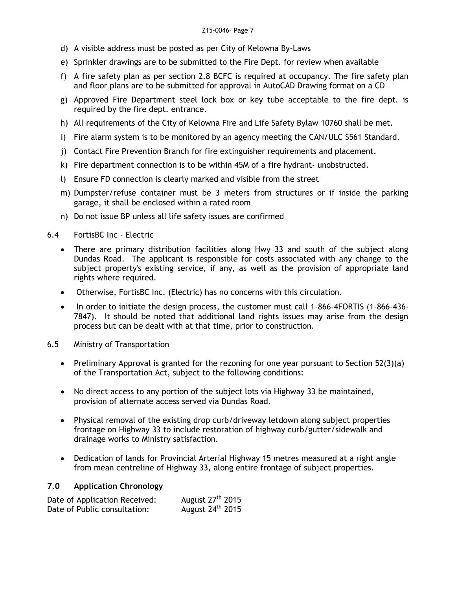- d) A visible address must be posted as per City of Kelowna By-Laws
- e) Sprinkler drawings are to be submitted to the Fire Dept. for review when available
- f) A fire safety plan as per section 2.8 BCFC is required at occupancy. The fire safety plan and floor plans are to be submitted for approval in AutoCAD Drawing format on a CD
- g) Approved Fire Department steel lock box or key tube acceptable to the fire dept. is required by the fire dept. entrance.
- h) All requirements of the City of Kelowna Fire and Life Safety Bylaw 10760 shall be met.
- i) Fire alarm system is to be monitored by an agency meeting the CAN/ULC S561 Standard.
- j) Contact Fire Prevention Branch for fire extinguisher requirements and placement.
- k) Fire department connection is to be within 45M of a fire hydrant- unobstructed.
- l) Ensure FD connection is clearly marked and visible from the street
- m) Dumpster/refuse container must be 3 meters from structures or if inside the parking garage, it shall be enclosed within a rated room
- n) Do not issue BP unless all life safety issues are confirmed
- 6.4 FortisBC Inc Electric
	- There are primary distribution facilities along Hwy 33 and south of the subject along Dundas Road. The applicant is responsible for costs associated with any change to the subject property's existing service, if any, as well as the provision of appropriate land rights where required.
	- Otherwise, FortisBC Inc. (Electric) has no concerns with this circulation.
	- In order to initiate the design process, the customer must call 1-866-4FORTIS (1-866-436- 7847). It should be noted that additional land rights issues may arise from the design process but can be dealt with at that time, prior to construction.
- 6.5 Ministry of Transportation
	- Preliminary Approval is granted for the rezoning for one year pursuant to Section  $52(3)(a)$ of the Transportation Act, subject to the following conditions:
	- No direct access to any portion of the subject lots via Highway 33 be maintained, provision of alternate access served via Dundas Road.
	- Physical removal of the existing drop curb/driveway letdown along subject properties frontage on Highway 33 to include restoration of highway curb/gutter/sidewalk and drainage works to Ministry satisfaction.
	- Dedication of lands for Provincial Arterial Highway 15 metres measured at a right angle from mean centreline of Highway 33, along entire frontage of subject properties.

# **7.0 Application Chronology**

| Date of Application Received: | August 27 <sup>th</sup> 2015 |
|-------------------------------|------------------------------|
| Date of Public consultation:  | August 24 <sup>th</sup> 2015 |